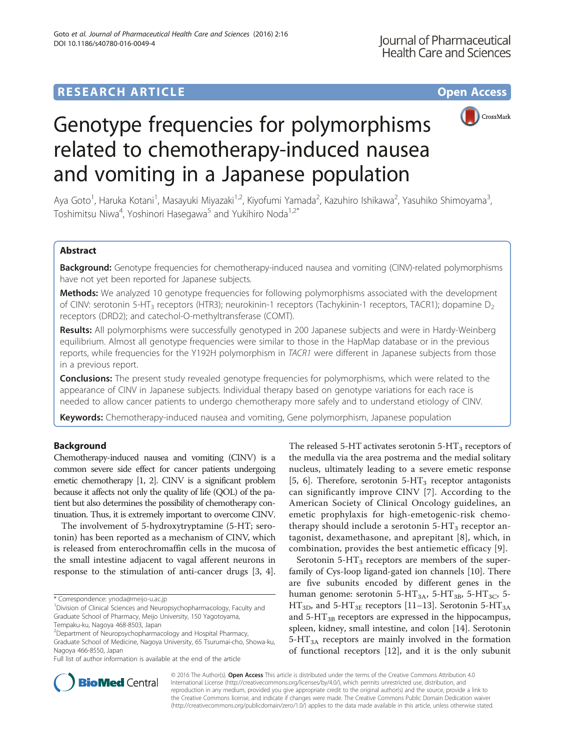# **RESEARCH ARTICLE Example 2014 12:30 The Contract of Contract ACCESS**





# Genotype frequencies for polymorphisms related to chemotherapy-induced nausea and vomiting in a Japanese population

Aya Goto<sup>1</sup>, Haruka Kotani<sup>1</sup>, Masayuki Miyazaki<sup>1,2</sup>, Kiyofumi Yamada<sup>2</sup>, Kazuhiro Ishikawa<sup>2</sup>, Yasuhiko Shimoyama<sup>3</sup> , Toshimitsu Niwa<sup>4</sup>, Yoshinori Hasegawa<sup>5</sup> and Yukihiro Noda<sup>1,2\*</sup>

# Abstract

Background: Genotype frequencies for chemotherapy-induced nausea and vomiting (CINV)-related polymorphisms have not yet been reported for Japanese subjects.

Methods: We analyzed 10 genotype frequencies for following polymorphisms associated with the development of CINV: serotonin 5-HT<sub>3</sub> receptors (HTR3); neurokinin-1 receptors (Tachykinin-1 receptors, TACR1); dopamine D<sub>2</sub> receptors (DRD2); and catechol-O-methyltransferase (COMT).

Results: All polymorphisms were successfully genotyped in 200 Japanese subjects and were in Hardy-Weinberg equilibrium. Almost all genotype frequencies were similar to those in the HapMap database or in the previous reports, while frequencies for the Y192H polymorphism in TACR1 were different in Japanese subjects from those in a previous report.

**Conclusions:** The present study revealed genotype frequencies for polymorphisms, which were related to the appearance of CINV in Japanese subjects. Individual therapy based on genotype variations for each race is needed to allow cancer patients to undergo chemotherapy more safely and to understand etiology of CINV.

Keywords: Chemotherapy-induced nausea and vomiting, Gene polymorphism, Japanese population

# Background

Chemotherapy-induced nausea and vomiting (CINV) is a common severe side effect for cancer patients undergoing emetic chemotherapy [\[1](#page-5-0), [2\]](#page-5-0). CINV is a significant problem because it affects not only the quality of life (QOL) of the patient but also determines the possibility of chemotherapy continuation. Thus, it is extremely important to overcome CINV.

The involvement of 5-hydroxytryptamine (5-HT; serotonin) has been reported as a mechanism of CINV, which is released from enterochromaffin cells in the mucosa of the small intestine adjacent to vagal afferent neurons in response to the stimulation of anti-cancer drugs [[3, 4](#page-5-0)].

<sup>1</sup> Division of Clinical Sciences and Neuropsychopharmacology, Faculty and Graduate School of Pharmacy, Meijo University, 150 Yagotoyama,

The released 5-HT activates serotonin 5-HT<sub>3</sub> receptors of the medulla via the area postrema and the medial solitary nucleus, ultimately leading to a severe emetic response [[5, 6](#page-5-0)]. Therefore, serotonin  $5-HT_3$  receptor antagonists can significantly improve CINV [[7](#page-5-0)]. According to the American Society of Clinical Oncology guidelines, an emetic prophylaxis for high-emetogenic-risk chemotherapy should include a serotonin  $5-HT_3$  receptor antagonist, dexamethasone, and aprepitant [[8](#page-5-0)], which, in combination, provides the best antiemetic efficacy [[9\]](#page-5-0).

Serotonin  $5-HT_3$  receptors are members of the superfamily of Cys-loop ligand-gated ion channels [[10\]](#page-5-0). There are five subunits encoded by different genes in the human genome: serotonin 5-HT<sub>3A</sub>, 5-HT<sub>3B</sub>, 5-HT<sub>3C</sub>, 5- $HT_{3D}$ , and 5-HT<sub>3E</sub> receptors [[11](#page-5-0)–[13](#page-5-0)]. Serotonin 5-HT<sub>3A</sub> and  $5-HT_{3B}$  receptors are expressed in the hippocampus, spleen, kidney, small intestine, and colon [\[14](#page-5-0)]. Serotonin  $5-HT<sub>3A</sub>$  receptors are mainly involved in the formation of functional receptors [\[12](#page-5-0)], and it is the only subunit



© 2016 The Author(s). Open Access This article is distributed under the terms of the Creative Commons Attribution 4.0 International License [\(http://creativecommons.org/licenses/by/4.0/](http://creativecommons.org/licenses/by/4.0/)), which permits unrestricted use, distribution, and reproduction in any medium, provided you give appropriate credit to the original author(s) and the source, provide a link to the Creative Commons license, and indicate if changes were made. The Creative Commons Public Domain Dedication waiver [\(http://creativecommons.org/publicdomain/zero/1.0/](http://creativecommons.org/publicdomain/zero/1.0/)) applies to the data made available in this article, unless otherwise stated.

<sup>\*</sup> Correspondence: [ynoda@meijo-u.ac.jp](mailto:ynoda@meijo-u.ac.jp) <sup>1</sup>

Tempaku-ku, Nagoya 468-8503, Japan

<sup>2</sup> Department of Neuropsychopharmacology and Hospital Pharmacy, Graduate School of Medicine, Nagoya University, 65 Tsurumai-cho, Showa-ku, Nagoya 466-8550, Japan

Full list of author information is available at the end of the article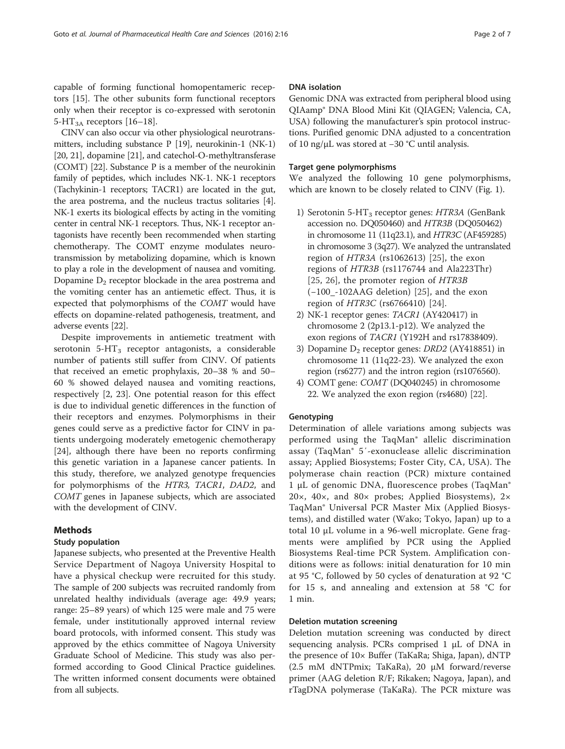capable of forming functional homopentameric receptors [[15](#page-5-0)]. The other subunits form functional receptors only when their receptor is co-expressed with serotonin 5-HT<sub>3A</sub> receptors [\[16](#page-5-0)–[18\]](#page-5-0).

CINV can also occur via other physiological neurotransmitters, including substance P [[19](#page-5-0)], neurokinin-1 (NK-1) [[20](#page-5-0), [21\]](#page-5-0), dopamine [\[21\]](#page-5-0), and catechol-O-methyltransferase (COMT) [[22](#page-5-0)]. Substance P is a member of the neurokinin family of peptides, which includes NK-1. NK-1 receptors (Tachykinin-1 receptors; TACR1) are located in the gut, the area postrema, and the nucleus tractus solitaries [[4](#page-5-0)]. NK-1 exerts its biological effects by acting in the vomiting center in central NK-1 receptors. Thus, NK-1 receptor antagonists have recently been recommended when starting chemotherapy. The COMT enzyme modulates neurotransmission by metabolizing dopamine, which is known to play a role in the development of nausea and vomiting. Dopamine  $D_2$  receptor blockade in the area postrema and the vomiting center has an antiemetic effect. Thus, it is expected that polymorphisms of the COMT would have effects on dopamine-related pathogenesis, treatment, and adverse events [\[22\]](#page-5-0).

Despite improvements in antiemetic treatment with serotonin  $5-HT_3$  receptor antagonists, a considerable number of patients still suffer from CINV. Of patients that received an emetic prophylaxis, 20–38 % and 50– 60 % showed delayed nausea and vomiting reactions, respectively [\[2](#page-5-0), [23](#page-5-0)]. One potential reason for this effect is due to individual genetic differences in the function of their receptors and enzymes. Polymorphisms in their genes could serve as a predictive factor for CINV in patients undergoing moderately emetogenic chemotherapy [[24\]](#page-5-0), although there have been no reports confirming this genetic variation in a Japanese cancer patients. In this study, therefore, we analyzed genotype frequencies for polymorphisms of the HTR3, TACR1, DAD2, and COMT genes in Japanese subjects, which are associated with the development of CINV.

## Methods

## Study population

Japanese subjects, who presented at the Preventive Health Service Department of Nagoya University Hospital to have a physical checkup were recruited for this study. The sample of 200 subjects was recruited randomly from unrelated healthy individuals (average age: 49.9 years; range: 25–89 years) of which 125 were male and 75 were female, under institutionally approved internal review board protocols, with informed consent. This study was approved by the ethics committee of Nagoya University Graduate School of Medicine. This study was also performed according to Good Clinical Practice guidelines. The written informed consent documents were obtained from all subjects.

#### DNA isolation

Genomic DNA was extracted from peripheral blood using QIAamp® DNA Blood Mini Kit (QIAGEN; Valencia, CA, USA) following the manufacturer's spin protocol instructions. Purified genomic DNA adjusted to a concentration of 10 ng/μL was stored at −30 °C until analysis.

#### Target gene polymorphisms

We analyzed the following 10 gene polymorphisms, which are known to be closely related to CINV (Fig. [1\)](#page-2-0).

- 1) Serotonin 5-HT<sub>3</sub> receptor genes: HTR3A (GenBank accession no. DQ050460) and HTR3B (DQ050462) in chromosome 11 (11q23.1), and HTR3C (AF459285) in chromosome 3 (3q27). We analyzed the untranslated region of HTR3A (rs1062613) [[25\]](#page-5-0), the exon regions of HTR3B (rs1176744 and Ala223Thr) [[25,](#page-5-0) [26](#page-5-0)], the promoter region of HTR3B (−100\_-102AAG deletion) [[25\]](#page-5-0), and the exon region of HTR3C (rs6766410) [[24\]](#page-5-0).
- 2) NK-1 receptor genes: TACR1 (AY420417) in chromosome 2 (2p13.1-p12). We analyzed the exon regions of TACR1 (Y192H and rs17838409).
- 3) Dopamine  $D_2$  receptor genes: *DRD2* (AY418851) in chromosome 11 (11q22-23). We analyzed the exon region (rs6277) and the intron region (rs1076560).
- 4) COMT gene: COMT (DQ040245) in chromosome 22. We analyzed the exon region (rs4680) [[22\]](#page-5-0).

#### **Genotyping**

Determination of allele variations among subjects was performed using the TaqMan® allelic discrimination assay (TaqMan® 5′-exonuclease allelic discrimination assay; Applied Biosystems; Foster City, CA, USA). The polymerase chain reaction (PCR) mixture contained 1 μL of genomic DNA, fluorescence probes (TaqMan® 20 $\times$ , 40 $\times$ , and 80 $\times$  probes; Applied Biosystems), 2 $\times$ TaqMan® Universal PCR Master Mix (Applied Biosystems), and distilled water (Wako; Tokyo, Japan) up to a total 10 μL volume in a 96-well microplate. Gene fragments were amplified by PCR using the Applied Biosystems Real-time PCR System. Amplification conditions were as follows: initial denaturation for 10 min at 95 °C, followed by 50 cycles of denaturation at 92 °C for 15 s, and annealing and extension at 58 °C for 1 min.

#### Deletion mutation screening

Deletion mutation screening was conducted by direct sequencing analysis. PCRs comprised 1 μL of DNA in the presence of 10× Buffer (TaKaRa; Shiga, Japan), dNTP (2.5 mM dNTPmix; TaKaRa), 20 μM forward/reverse primer (AAG deletion R/F; Rikaken; Nagoya, Japan), and rTagDNA polymerase (TaKaRa). The PCR mixture was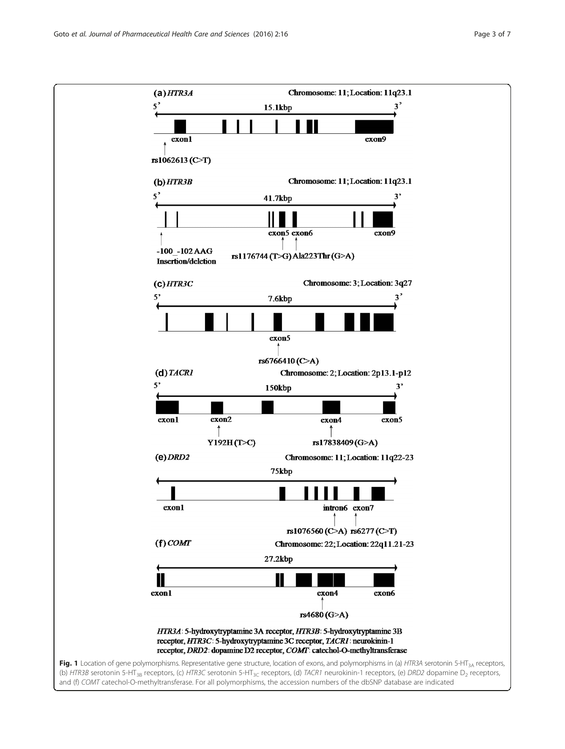<span id="page-2-0"></span>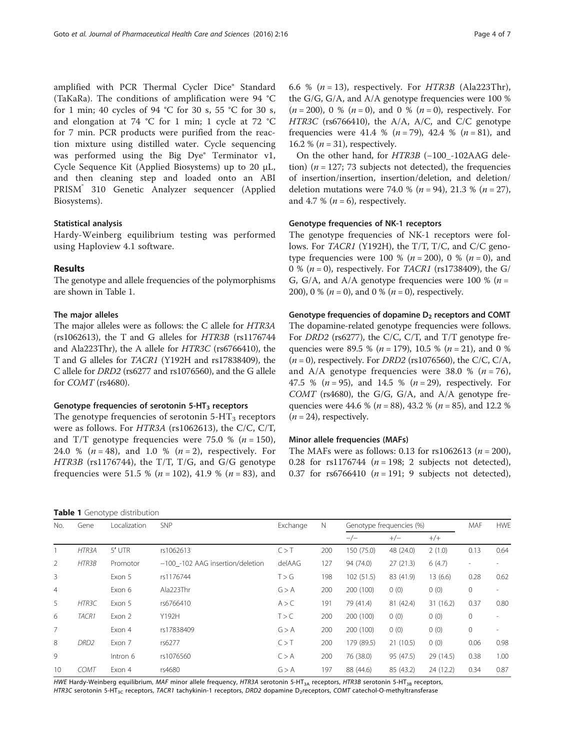amplified with PCR Thermal Cycler Dice® Standard (TaKaRa). The conditions of amplification were 94 °C for 1 min; 40 cycles of 94 °C for 30 s, 55 °C for 30 s, and elongation at 74 °C for 1 min; 1 cycle at 72 °C for 7 min. PCR products were purified from the reaction mixture using distilled water. Cycle sequencing was performed using the Big Dye® Terminator v1, Cycle Sequence Kit (Applied Biosystems) up to 20 μL, and then cleaning step and loaded onto an ABI PRISM<sup>®</sup> 310 Genetic Analyzer sequencer (Applied Biosystems).

#### Statistical analysis

Hardy-Weinberg equilibrium testing was performed using Haploview 4.1 software.

# Results

The genotype and allele frequencies of the polymorphisms are shown in Table 1.

# The major alleles

The major alleles were as follows: the C allele for HTR3A ( $rs1062613$ ), the T and G alleles for  $HTR3B$  ( $rs1176744$ ) and Ala223Thr), the A allele for HTR3C (rs6766410), the T and G alleles for TACR1 (Y192H and rs17838409), the C allele for DRD2 (rs6277 and rs1076560), and the G allele for COMT (rs4680).

#### Genotype frequencies of serotonin  $5-HT<sub>3</sub>$  receptors

The genotype frequencies of serotonin  $5-HT_3$  receptors were as follows. For HTR3A (rs1062613), the C/C, C/T, and T/T genotype frequencies were 75.0 %  $(n = 150)$ , 24.0 % ( $n = 48$ ), and 1.0 % ( $n = 2$ ), respectively. For  $HTR3B$  (rs1176744), the T/T, T/G, and G/G genotype frequencies were 51.5 % ( $n = 102$ ), 41.9 % ( $n = 83$ ), and

| Table 1 Genotype distribution |  |
|-------------------------------|--|
|-------------------------------|--|

6.6 %  $(n = 13)$ , respectively. For HTR3B (Ala223Thr), the G/G, G/A, and A/A genotype frequencies were 100 %  $(n = 200)$ , 0 %  $(n = 0)$ , and 0 %  $(n = 0)$ , respectively. For HTR3C (rs6766410), the A/A, A/C, and C/C genotype frequencies were 41.4 % ( $n = 79$ ), 42.4 % ( $n = 81$ ), and 16.2 % ( $n = 31$ ), respectively.

On the other hand, for HTR3B (−100\_-102AAG deletion) ( $n = 127$ ; 73 subjects not detected), the frequencies of insertion/insertion, insertion/deletion, and deletion/ deletion mutations were 74.0 % ( $n = 94$ ), 21.3 % ( $n = 27$ ), and 4.7 % ( $n = 6$ ), respectively.

#### Genotype frequencies of NK-1 receptors

The genotype frequencies of NK-1 receptors were follows. For TACR1 (Y192H), the T/T, T/C, and C/C genotype frequencies were 100 % ( $n = 200$ ), 0 % ( $n = 0$ ), and 0 % ( $n = 0$ ), respectively. For *TACR1* (rs1738409), the G/ G, G/A, and A/A genotype frequencies were 100 % ( $n =$ 200), 0 % ( $n = 0$ ), and 0 % ( $n = 0$ ), respectively.

#### Genotype frequencies of dopamine  $D_2$  receptors and COMT

The dopamine-related genotype frequencies were follows. For DRD2 (rs6277), the C/C, C/T, and T/T genotype frequencies were 89.5 % ( $n = 179$ ), 10.5 % ( $n = 21$ ), and 0 %  $(n = 0)$ , respectively. For *DRD2* (rs1076560), the C/C, C/A, and A/A genotype frequencies were 38.0 % ( $n = 76$ ), 47.5 % ( $n = 95$ ), and 14.5 % ( $n = 29$ ), respectively. For  $COMT$  (rs4680), the G/G, G/A, and A/A genotype frequencies were 44.6 % ( $n = 88$ ), 43.2 % ( $n = 85$ ), and 12.2 %  $(n = 24)$ , respectively.

#### Minor allele frequencies (MAFs)

The MAFs were as follows: 0.13 for  $rs1062613$  ( $n = 200$ ), 0.28 for rs1176744 ( $n = 198$ ; 2 subjects not detected), 0.37 for rs6766410  $(n = 191; 9$  subjects not detected),

| No.            | Gene               | Localization | SNP                              | Exchange | N   | Genotype frequencies (%) |           |           | MAF                      | <b>HWE</b>               |
|----------------|--------------------|--------------|----------------------------------|----------|-----|--------------------------|-----------|-----------|--------------------------|--------------------------|
|                |                    |              |                                  |          |     | $-/-$                    | $+/-$     | $+/-$     |                          |                          |
|                | HTR <sub>3</sub> A | $5'$ UTR     | rs1062613                        | C > T    | 200 | 150 (75.0)               | 48 (24.0) | 2(1.0)    | 0.13                     | 0.64                     |
| 2              | HTR3B              | Promotor     | -100 -102 AAG insertion/deletion | delAAG   | 127 | 94 (74.0)                | 27(21.3)  | 6(4.7)    | $\overline{\phantom{a}}$ |                          |
| 3              |                    | Exon 5       | rs1176744                        | T > G    | 198 | 102(51.5)                | 83 (41.9) | 13(6.6)   | 0.28                     | 0.62                     |
| $\overline{4}$ |                    | Exon 6       | Ala223Thr                        | G > A    | 200 | 200 (100)                | 0(0)      | 0(0)      | 0                        | $\overline{\phantom{a}}$ |
| 5              | HTR3C              | Exon 5       | rs6766410                        | A > C    | 191 | 79 (41.4)                | 81 (42.4) | 31(16.2)  | 0.37                     | 0.80                     |
| 6              | TACR1              | Exon 2       | Y192H                            | T > C    | 200 | 200 (100)                | 0(0)      | 0(0)      | 0                        | $\overline{\phantom{a}}$ |
| 7              |                    | Exon 4       | rs17838409                       | G > A    | 200 | 200 (100)                | 0(0)      | 0(0)      | 0                        |                          |
| 8              | DRD <sub>2</sub>   | Exon 7       | rs6277                           | C > T    | 200 | 179 (89.5)               | 21(10.5)  | 0(0)      | 0.06                     | 0.98                     |
| 9              |                    | Intron 6     | rs1076560                        | C > A    | 200 | 76 (38.0)                | 95 (47.5) | 29(14.5)  | 0.38                     | 1.00                     |
| 10             | <b>COMT</b>        | Exon 4       | rs4680                           | G > A    | 197 | 88 (44.6)                | 85 (43.2) | 24 (12.2) | 0.34                     | 0.87                     |

HWE Hardy-Weinberg equilibrium, MAF minor allele frequency, HTR3A serotonin 5-HT<sub>3A</sub> receptors, HTR3B serotonin 5-HT<sub>3B</sub> receptors, HTR3C serotonin 5-HT<sub>3C</sub> receptors, TACR1 tachykinin-1 receptors, DRD2 dopamine D<sub>2</sub>receptors, COMT catechol-O-methyltransferase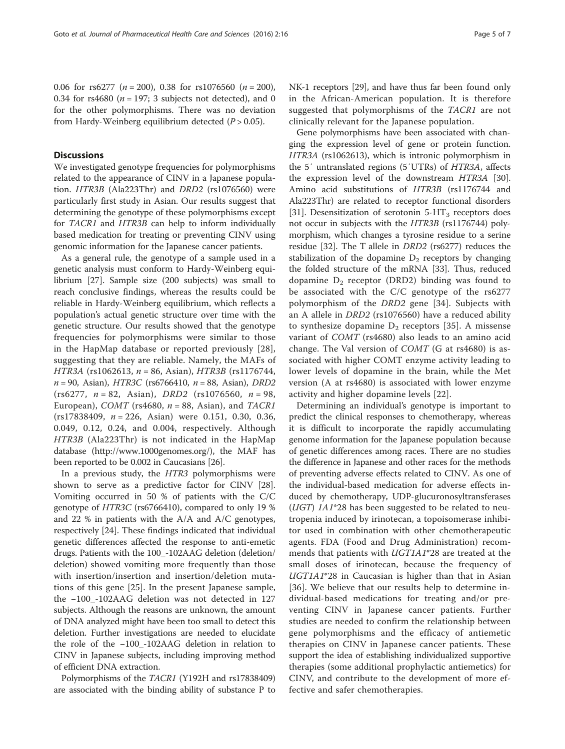# **Discussions**

We investigated genotype frequencies for polymorphisms related to the appearance of CINV in a Japanese population. HTR3B (Ala223Thr) and DRD2 (rs1076560) were particularly first study in Asian. Our results suggest that determining the genotype of these polymorphisms except for TACR1 and HTR3B can help to inform individually based medication for treating or preventing CINV using genomic information for the Japanese cancer patients.

As a general rule, the genotype of a sample used in a genetic analysis must conform to Hardy-Weinberg equilibrium [\[27\]](#page-5-0). Sample size (200 subjects) was small to reach conclusive findings, whereas the results could be reliable in Hardy-Weinberg equilibrium, which reflects a population's actual genetic structure over time with the genetic structure. Our results showed that the genotype frequencies for polymorphisms were similar to those in the HapMap database or reported previously [[28\]](#page-5-0), suggesting that they are reliable. Namely, the MAFs of HTR3A (rs1062613, n = 86, Asian), HTR3B (rs1176744,  $n = 90$ , Asian), HTR3C (rs6766410,  $n = 88$ , Asian), DRD2  $(rs6277, n = 82, Asian), DRD2 (rs1076560, n = 98,$ European), COMT (rs4680,  $n = 88$ , Asian), and TACR1  $(rs17838409, n = 226, Asian)$  were 0.151, 0.30, 0.36, 0.049, 0.12, 0.24, and 0.004, respectively. Although HTR3B (Ala223Thr) is not indicated in the HapMap database (<http://www.1000genomes.org/>), the MAF has been reported to be 0.002 in Caucasians [\[26\]](#page-5-0).

In a previous study, the HTR3 polymorphisms were shown to serve as a predictive factor for CINV [\[28](#page-5-0)]. Vomiting occurred in 50 % of patients with the C/C genotype of HTR3C (rs6766410), compared to only 19 % and 22 % in patients with the A/A and A/C genotypes, respectively [\[24](#page-5-0)]. These findings indicated that individual genetic differences affected the response to anti-emetic drugs. Patients with the 100\_-102AAG deletion (deletion/ deletion) showed vomiting more frequently than those with insertion/insertion and insertion/deletion mutations of this gene [[25\]](#page-5-0). In the present Japanese sample, the −100\_-102AAG deletion was not detected in 127 subjects. Although the reasons are unknown, the amount of DNA analyzed might have been too small to detect this deletion. Further investigations are needed to elucidate the role of the −100\_-102AAG deletion in relation to CINV in Japanese subjects, including improving method of efficient DNA extraction.

Polymorphisms of the TACR1 (Y192H and rs17838409) are associated with the binding ability of substance P to NK-1 receptors [\[29\]](#page-5-0), and have thus far been found only in the African-American population. It is therefore suggested that polymorphisms of the TACR1 are not clinically relevant for the Japanese population.

Gene polymorphisms have been associated with changing the expression level of gene or protein function. HTR3A (rs1062613), which is intronic polymorphism in the 5′ untranslated regions (5′UTRs) of HTR3A, affects the expression level of the downstream HTR3A [\[30](#page-6-0)]. Amino acid substitutions of HTR3B (rs1176744 and Ala223Thr) are related to receptor functional disorders [[31\]](#page-6-0). Desensitization of serotonin  $5-HT_3$  receptors does not occur in subjects with the HTR3B (rs1176744) polymorphism, which changes a tyrosine residue to a serine residue [[32\]](#page-6-0). The T allele in DRD2 (rs6277) reduces the stabilization of the dopamine  $D_2$  receptors by changing the folded structure of the mRNA [[33\]](#page-6-0). Thus, reduced dopamine  $D_2$  receptor (DRD2) binding was found to be associated with the C/C genotype of the rs6277 polymorphism of the DRD2 gene [[34\]](#page-6-0). Subjects with an A allele in DRD2 (rs1076560) have a reduced ability to synthesize dopamine  $D_2$  receptors [[35\]](#page-6-0). A missense variant of COMT (rs4680) also leads to an amino acid change. The Val version of  $COMT$  (G at rs4680) is associated with higher COMT enzyme activity leading to lower levels of dopamine in the brain, while the Met version (A at rs4680) is associated with lower enzyme activity and higher dopamine levels [\[22](#page-5-0)].

Determining an individual's genotype is important to predict the clinical responses to chemotherapy, whereas it is difficult to incorporate the rapidly accumulating genome information for the Japanese population because of genetic differences among races. There are no studies the difference in Japanese and other races for the methods of preventing adverse effects related to CINV. As one of the individual-based medication for adverse effects induced by chemotherapy, UDP-glucuronosyltransferases ( $UGT$ )  $1A1*28$  has been suggested to be related to neutropenia induced by irinotecan, a topoisomerase inhibitor used in combination with other chemotherapeutic agents. FDA (Food and Drug Administration) recommends that patients with UGT1A1\*28 are treated at the small doses of irinotecan, because the frequency of UGT1A1\*28 in Caucasian is higher than that in Asian [[36](#page-6-0)]. We believe that our results help to determine individual-based medications for treating and/or preventing CINV in Japanese cancer patients. Further studies are needed to confirm the relationship between gene polymorphisms and the efficacy of antiemetic therapies on CINV in Japanese cancer patients. These support the idea of establishing individualized supportive therapies (some additional prophylactic antiemetics) for CINV, and contribute to the development of more effective and safer chemotherapies.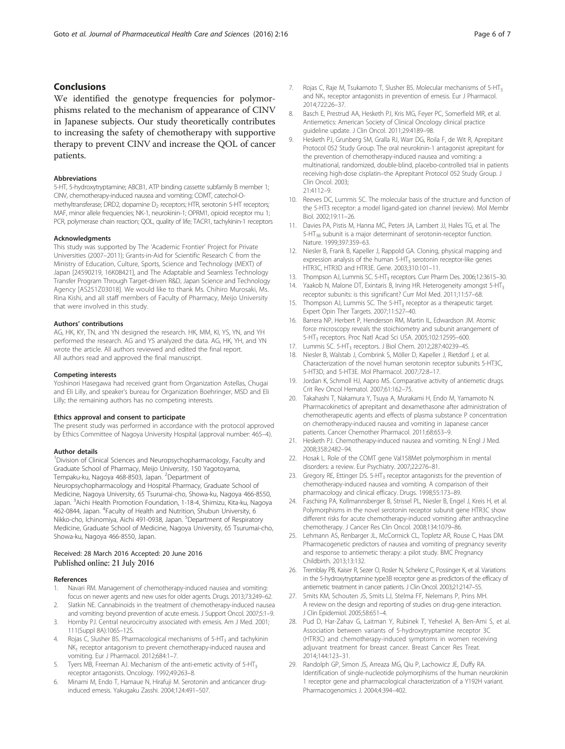# <span id="page-5-0"></span>Conclusions

We identified the genotype frequencies for polymorphisms related to the mechanism of appearance of CINV in Japanese subjects. Our study theoretically contributes to increasing the safety of chemotherapy with supportive therapy to prevent CINV and increase the QOL of cancer patients.

#### Abbreviations

5-HT, 5-hydroxytryptamine; ABCB1, ATP binding cassette subfamily B member 1; CINV, chemotherapy-induced nausea and vomiting; COMT, catechol-Omethyltransferase; DRD2, dopamine  $D_2$  receptors; HTR, serotonin 5-HT receptors; MAF, minor allele frequencies; NK-1, neurokinin-1; OPRM1, opioid receptor mu 1; PCR, polymerase chain reaction; QOL, quality of life; TACR1, tachykinin-1 receptors

#### Acknowledgments

This study was supported by The 'Academic Frontier' Project for Private Universities (2007–2011); Grants-in-Aid for Scientific Research C from the Ministry of Education, Culture, Sports, Science and Technology (MEXT) of Japan [24590219, 16K08421], and The Adaptable and Seamless Technology Transfer Program Through Target-driven R&D, Japan Science and Technology Agency [AS251Z03018]. We would like to thank Ms. Chihiro Murosaki, Ms. Rina Kishi, and all staff members of Faculty of Pharmacy, Meijo University that were involved in this study.

#### Authors' contributions

AG, HK, KY, TN, and YN designed the research. HK, MM, KI, YS, YN, and YH performed the research. AG and YS analyzed the data. AG, HK, YH, and YN wrote the article. All authors reviewed and edited the final report. All authors read and approved the final manuscript.

#### Competing interests

Yoshinori Hasegawa had received grant from Organization Astellas, Chugai and Eli Lilly, and speaker's bureau for Organization Boehringer, MSD and Eli Lilly; the remaining authors has no competing interests.

#### Ethics approval and consent to participate

The present study was performed in accordance with the protocol approved by Ethics Committee of Nagoya University Hospital (approval number: 465–4).

#### Author details

<sup>1</sup> Division of Clinical Sciences and Neuropsychopharmacology, Faculty and Graduate School of Pharmacy, Meijo University, 150 Yagotoyama, Tempaku-ku, Nagoya 468-8503, Japan. <sup>2</sup>Department of Neuropsychopharmacology and Hospital Pharmacy, Graduate School of Medicine, Nagoya University, 65 Tsurumai-cho, Showa-ku, Nagoya 466-8550, Japan. <sup>3</sup>Aichi Health Promotion Foundation, 1-18-4, Shimizu, Kita-ku, Nagoya 462-0844, Japan. <sup>4</sup>Faculty of Health and Nutrition, Shubun University, 6 Nikko-cho, Ichinomiya, Aichi 491-0938, Japan. <sup>5</sup>Department of Respiratory Medicine, Graduate School of Medicine, Nagoya University, 65 Tsurumai-cho, Showa-ku, Nagoya 466-8550, Japan.

#### Received: 28 March 2016 Accepted: 20 June 2016 Published online: 21 July 2016

#### References

- 1. Navari RM. Management of chemotherapy-induced nausea and vomiting: focus on newer agents and new uses for older agents. Drugs. 2013;73:249–62.
- Slatkin NE. Cannabinoids in the treatment of chemotherapy-induced nausea and vomiting: beyond prevention of acute emesis. J Support Oncol. 2007;5:1–9.
- 3. Hornby PJ. Central neurocircuitry associated with emesis. Am J Med. 2001; 111(Suppl 8A):106S–12S.
- 4. Rojas C, Slusher BS. Pharmacological mechanisms of  $5-HT<sub>3</sub>$  and tachykinin  $NK<sub>1</sub>$  receptor antagonism to prevent chemotherapy-induced nausea and vomiting. Eur J Pharmacol. 2012;684:1–7.
- Tyers MB, Freeman AJ. Mechanism of the anti-emetic activity of  $5-HT<sub>3</sub>$ receptor antagonists. Oncology. 1992;49:263–8.
- 6. Minami M, Endo T, Hamaue N, Hirafuji M. Serotonin and anticancer druginduced emesis. Yakugaku Zasshi. 2004;124:491–507.
- 7. Rojas C, Raje M, Tsukamoto T, Slusher BS. Molecular mechanisms of 5-HT<sub>3</sub> and NK<sub>1</sub> receptor antagonists in prevention of emesis. Eur J Pharmacol. 2014;722:26–37.
- 8. Basch E, Prestrud AA, Hesketh PJ, Kris MG, Feyer PC, Somerfield MR, et al. Antiemetics: American Society of Clinical Oncology clinical practice guideline update. J Clin Oncol. 2011;29:4189–98.
- Hesketh PJ, Grunberg SM, Gralla RJ, Warr DG, Roila F, de Wit R, Aprepitant Protocol 052 Study Group. The oral neurokinin-1 antagonist aprepitant for the prevention of chemotherapy-induced nausea and vomiting: a multinational, randomized, double-blind, placebo-controlled trial in patients receiving high-dose cisplatin–the Aprepitant Protocol 052 Study Group. J Clin Oncol. 2003; 21:4112–9.
- 10. Reeves DC, Lummis SC. The molecular basis of the structure and function of the 5-HT3 receptor: a model ligand-gated ion channel (review). Mol Membr Biol. 2002;19:11–26.
- 11. Davies PA, Pistis M, Hanna MC, Peters JA, Lambert JJ, Hales TG, et al. The 5-HT<sub>3B</sub> subunit is a major determinant of serotonin-receptor function. Nature. 1999;397:359–63.
- 12. Niesler B, Frank B, Kapeller J, Rappold GA. Cloning, physical mapping and expression analysis of the human  $5-HT<sub>3</sub>$  serotonin receptor-like genes HTR3C, HTR3D and HTR3E. Gene. 2003;310:101–11.
- 13. Thompson AJ, Lummis SC. 5-HT<sub>3</sub> receptors. Curr Pharm Des. 2006;12:3615-30.
- 14. Yaakob N, Malone DT, Exintaris B, Irving HR. Heterogeneity amongst 5-HT<sub>3</sub> receptor subunits: is this significant? Curr Mol Med. 2011;11:57–68.
- 15. Thompson AJ, Lummis SC. The 5-HT<sub>3</sub> receptor as a therapeutic target. Expert Opin Ther Targets. 2007;11:527–40.
- 16. Barrera NP, Herbert P, Henderson RM, Martin IL, Edwardson JM. Atomic force microscopy reveals the stoichiometry and subunit arrangement of 5-HT3 receptors. Proc Natl Acad Sci USA. 2005;102:12595–600.
- 17. Lummis SC. 5-HT<sub>3</sub> receptors. J Biol Chem. 2012;287:40239-45.
- 18. Niesler B, Walstab J, Combrink S, Möller D, Kapeller J, Rietdorf J, et al. Characterization of the novel human serotonin receptor subunits 5-HT3C, 5-HT3D, and 5-HT3E. Mol Pharmacol. 2007;72:8–17.
- 19. Jordan K, Schmoll HJ, Aapro MS. Comparative activity of antiemetic drugs. Crit Rev Oncol Hematol. 2007;61:162–75.
- 20. Takahashi T, Nakamura Y, Tsuya A, Murakami H, Endo M, Yamamoto N. Pharmacokinetics of aprepitant and dexamethasone after administration of chemotherapeutic agents and effects of plasma substance P concentration on chemotherapy-induced nausea and vomiting in Japanese cancer patients. Cancer Chemother Pharmacol. 2011;68:653–9.
- 21. Hesketh PJ. Chemotherapy-induced nausea and vomiting. N Engl J Med. 2008;358:2482–94.
- 22. Hosak L. Role of the COMT gene Val158Met polymorphism in mental disorders: a review. Eur Psychiatry. 2007;22:276–81.
- 23. Gregory RE, Ettinger DS. 5-HT<sub>3</sub> receptor antagonists for the prevention of chemotherapy-induced nausea and vomiting. A comparison of their pharmacology and clinical efficacy. Drugs. 1998;55:173–89.
- 24. Fasching PA, Kollmannsberger B, Strissel PL, Niesler B, Engel J, Kreis H, et al. Polymorphisms in the novel serotonin receptor subunit gene HTR3C show different risks for acute chemotherapy-induced vomiting after anthracycline chemotherapy. J Cancer Res Clin Oncol. 2008;134:1079–86.
- 25. Lehmann AS, Renbarger JL, McCormick CL, Topletz AR, Rouse C, Haas DM. Pharmacogenetic predictors of nausea and vomiting of pregnancy severity and response to antiemetic therapy: a pilot study. BMC Pregnancy Childbirth. 2013;13:132.
- 26. Tremblay PB, Kaiser R, Sezer O, Rosler N, Schelenz C, Possinger K, et al. Variations in the 5-hydroxytryptamine type3B receptor gene as predictors of the efficacy of antiemetic treatment in cancer patients. J Clin Oncol. 2003;21:2147–55.
- 27. Smits KM, Schouten JS, Smits LJ, Stelma FF, Nelemans P, Prins MH. A review on the design and reporting of studies on drug-gene interaction. J Clin Epidemiol. 2005;58:651–4.
- 28. Pud D, Har-Zahav G, Laitman Y, Rubinek T, Yeheskel A, Ben-Ami S, et al. Association between variants of 5-hydroxytryptamine receptor 3C (HTR3C) and chemotherapy-induced symptoms in women receiving adjuvant treatment for breast cancer. Breast Cancer Res Treat. 2014;144:123–31.
- 29. Randolph GP, Simon JS, Arreaza MG, Qiu P, Lachowicz JE, Duffy RA. Identification of single-nucleotide polymorphisms of the human neurokinin 1 receptor gene and pharmacological characterization of a Y192H variant. Pharmacogenomics J. 2004;4:394–402.